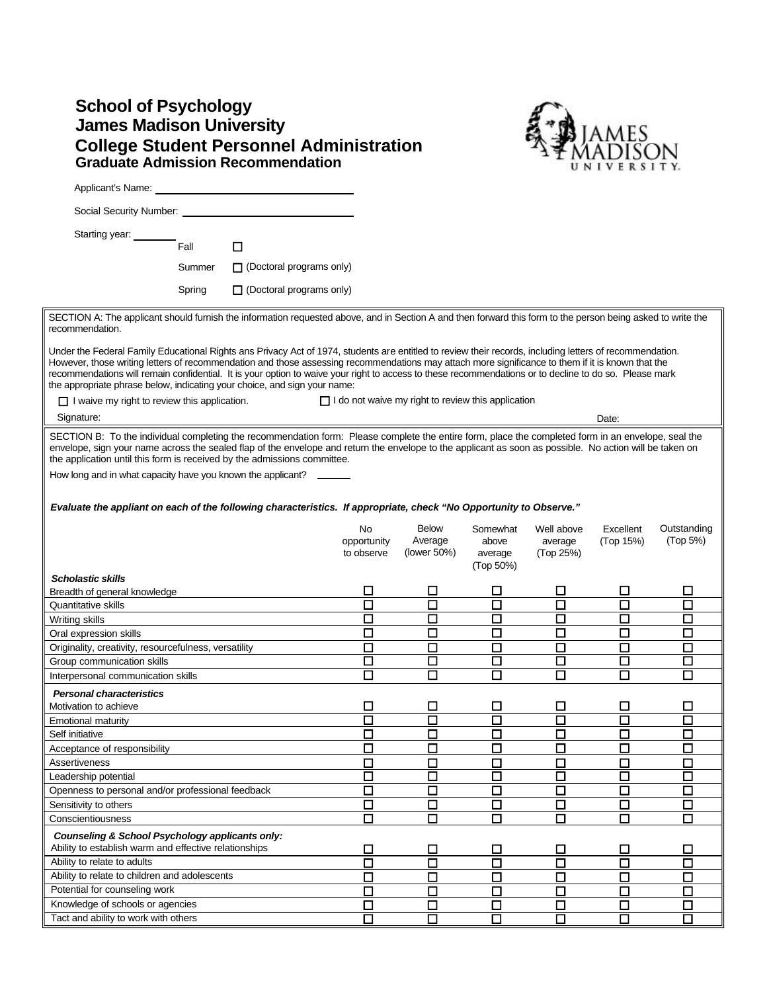## **School of Psychology James Madison University College Student Personnel Administration Graduate Admission Recommendation**



|                                                                                                                                                                                                                                                                                                                                                                                                                                                                                                                                                      |        |                                 |                                 |                                                           |                                           |                                    | UNIVERSITY.            |                         |
|------------------------------------------------------------------------------------------------------------------------------------------------------------------------------------------------------------------------------------------------------------------------------------------------------------------------------------------------------------------------------------------------------------------------------------------------------------------------------------------------------------------------------------------------------|--------|---------------------------------|---------------------------------|-----------------------------------------------------------|-------------------------------------------|------------------------------------|------------------------|-------------------------|
| Applicant's Name:                                                                                                                                                                                                                                                                                                                                                                                                                                                                                                                                    |        |                                 |                                 |                                                           |                                           |                                    |                        |                         |
| Social Security Number: _____________                                                                                                                                                                                                                                                                                                                                                                                                                                                                                                                |        |                                 |                                 |                                                           |                                           |                                    |                        |                         |
| Starting year:                                                                                                                                                                                                                                                                                                                                                                                                                                                                                                                                       |        |                                 |                                 |                                                           |                                           |                                    |                        |                         |
|                                                                                                                                                                                                                                                                                                                                                                                                                                                                                                                                                      | Fall   | □                               |                                 |                                                           |                                           |                                    |                        |                         |
|                                                                                                                                                                                                                                                                                                                                                                                                                                                                                                                                                      | Summer | $\Box$ (Doctoral programs only) |                                 |                                                           |                                           |                                    |                        |                         |
|                                                                                                                                                                                                                                                                                                                                                                                                                                                                                                                                                      | Spring | $\Box$ (Doctoral programs only) |                                 |                                                           |                                           |                                    |                        |                         |
|                                                                                                                                                                                                                                                                                                                                                                                                                                                                                                                                                      |        |                                 |                                 |                                                           |                                           |                                    |                        |                         |
| SECTION A: The applicant should furnish the information requested above, and in Section A and then forward this form to the person being asked to write the<br>recommendation.                                                                                                                                                                                                                                                                                                                                                                       |        |                                 |                                 |                                                           |                                           |                                    |                        |                         |
| Under the Federal Family Educational Rights ans Privacy Act of 1974, students are entitled to review their records, including letters of recommendation.<br>However, those writing letters of recommendation and those assessing recommendations may attach more significance to them if it is known that the<br>recommendations will remain confidential. It is your option to waive your right to access to these recommendations or to decline to do so. Please mark<br>the appropriate phrase below, indicating your choice, and sign your name: |        |                                 |                                 |                                                           |                                           |                                    |                        |                         |
| $\Box$ I waive my right to review this application.                                                                                                                                                                                                                                                                                                                                                                                                                                                                                                  |        |                                 |                                 | $\Box$ I do not waive my right to review this application |                                           |                                    |                        |                         |
| Signature:                                                                                                                                                                                                                                                                                                                                                                                                                                                                                                                                           |        |                                 |                                 |                                                           |                                           |                                    | Date:                  |                         |
| SECTION B: To the individual completing the recommendation form: Please complete the entire form, place the completed form in an envelope, seal the<br>envelope, sign your name across the sealed flap of the envelope and return the envelope to the applicant as soon as possible. No action will be taken on<br>the application until this form is received by the admissions committee.                                                                                                                                                          |        |                                 |                                 |                                                           |                                           |                                    |                        |                         |
| How long and in what capacity have you known the applicant?                                                                                                                                                                                                                                                                                                                                                                                                                                                                                          |        |                                 |                                 |                                                           |                                           |                                    |                        |                         |
|                                                                                                                                                                                                                                                                                                                                                                                                                                                                                                                                                      |        |                                 |                                 |                                                           |                                           |                                    |                        |                         |
| Evaluate the appliant on each of the following characteristics. If appropriate, check "No Opportunity to Observe."                                                                                                                                                                                                                                                                                                                                                                                                                                   |        |                                 |                                 |                                                           |                                           |                                    |                        |                         |
|                                                                                                                                                                                                                                                                                                                                                                                                                                                                                                                                                      |        |                                 | No<br>opportunity<br>to observe | <b>Below</b><br>Average<br>(lower 50%)                    | Somewhat<br>above<br>average<br>(Top 50%) | Well above<br>average<br>(Top 25%) | Excellent<br>(Top 15%) | Outstanding<br>(Top 5%) |
| <b>Scholastic skills</b>                                                                                                                                                                                                                                                                                                                                                                                                                                                                                                                             |        |                                 |                                 |                                                           |                                           |                                    |                        |                         |
| Breadth of general knowledge<br>Quantitative skills                                                                                                                                                                                                                                                                                                                                                                                                                                                                                                  |        |                                 | □<br>П                          | □<br>囗                                                    | ⊔<br>□                                    | □<br>◻                             | □<br>□                 | $\Box$<br>$\Box$        |
| Writing skills                                                                                                                                                                                                                                                                                                                                                                                                                                                                                                                                       |        |                                 | П                               | $\Box$                                                    | $\Box$                                    | □                                  | □                      | $\Box$                  |
| Oral expression skills                                                                                                                                                                                                                                                                                                                                                                                                                                                                                                                               |        |                                 | $\Box$                          | □                                                         | $\Box$                                    | ◻                                  | $\Box$                 | $\Box$                  |
| Originality, creativity, resourcefulness, versatility                                                                                                                                                                                                                                                                                                                                                                                                                                                                                                |        |                                 | □                               | □                                                         | □                                         | ◻                                  | □                      | $\Box$                  |
| Group communication skills                                                                                                                                                                                                                                                                                                                                                                                                                                                                                                                           |        |                                 | □                               | $\Box$                                                    | $\Box$                                    | ◻                                  | □                      | $\Box$                  |
| Interpersonal communication skills                                                                                                                                                                                                                                                                                                                                                                                                                                                                                                                   |        |                                 | П                               | П                                                         | П                                         | П                                  | П                      | П                       |
|                                                                                                                                                                                                                                                                                                                                                                                                                                                                                                                                                      |        |                                 |                                 |                                                           |                                           |                                    |                        |                         |
| <b>Personal characteristics</b>                                                                                                                                                                                                                                                                                                                                                                                                                                                                                                                      |        |                                 |                                 |                                                           |                                           |                                    |                        |                         |
| Motivation to achieve                                                                                                                                                                                                                                                                                                                                                                                                                                                                                                                                |        |                                 | $\Box$<br>П                     | $\Box$<br>П                                               | ப<br>П                                    | □<br>П                             | ப                      | ⊔                       |
| <b>Emotional maturity</b><br>Self initiative                                                                                                                                                                                                                                                                                                                                                                                                                                                                                                         |        |                                 |                                 |                                                           |                                           |                                    | □                      |                         |
| Acceptance of responsibility                                                                                                                                                                                                                                                                                                                                                                                                                                                                                                                         |        |                                 | □<br>П                          | $\Box$<br>П                                               | □<br>□                                    | □<br>П                             | $\Box$                 | $\Box$<br>П             |
| <b>Assertiveness</b>                                                                                                                                                                                                                                                                                                                                                                                                                                                                                                                                 |        |                                 | $\Box$                          |                                                           |                                           | 口                                  | $\Box$                 | $\Box$                  |
| Leadership potential                                                                                                                                                                                                                                                                                                                                                                                                                                                                                                                                 |        |                                 | □                               | $\Box$<br>□                                               | □<br>□                                    | □                                  | □                      | $\Box$                  |
| Openness to personal and/or professional feedback                                                                                                                                                                                                                                                                                                                                                                                                                                                                                                    |        |                                 | $\Box$                          | $\Box$                                                    | Π                                         | $\Box$                             | $\Box$                 | $\Box$                  |
| Sensitivity to others                                                                                                                                                                                                                                                                                                                                                                                                                                                                                                                                |        |                                 | $\Box$                          | $\Box$                                                    | $\Box$                                    | $\Box$                             | $\Box$                 | $\Box$                  |
| Conscientiousness                                                                                                                                                                                                                                                                                                                                                                                                                                                                                                                                    |        |                                 | $\overline{\square}$            | $\Box$                                                    | $\Box$                                    | $\Box$                             | $\overline{\square}$   | $\Box$                  |
|                                                                                                                                                                                                                                                                                                                                                                                                                                                                                                                                                      |        |                                 |                                 |                                                           |                                           |                                    |                        |                         |
| Counseling & School Psychology applicants only:<br>Ability to establish warm and effective relationships                                                                                                                                                                                                                                                                                                                                                                                                                                             |        |                                 | □                               | $\Box$                                                    | $\Box$                                    | □                                  | □                      | $\Box$                  |
| Ability to relate to adults                                                                                                                                                                                                                                                                                                                                                                                                                                                                                                                          |        |                                 | $\Box$                          | $\Box$                                                    | $\Box$                                    | $\Box$                             | $\Box$                 | П                       |
| Ability to relate to children and adolescents                                                                                                                                                                                                                                                                                                                                                                                                                                                                                                        |        |                                 | □                               | □                                                         | $\Box$                                    | □                                  | □                      | □                       |
| Potential for counseling work                                                                                                                                                                                                                                                                                                                                                                                                                                                                                                                        |        |                                 | П                               | $\Box$                                                    | $\Box$                                    | $\Box$                             | $\Box$                 | □                       |
| Knowledge of schools or agencies                                                                                                                                                                                                                                                                                                                                                                                                                                                                                                                     |        |                                 | $\Box$                          | $\Box$                                                    | □                                         | □                                  | $\Box$                 | $\Box$                  |
| Tact and ability to work with others                                                                                                                                                                                                                                                                                                                                                                                                                                                                                                                 |        |                                 |                                 |                                                           |                                           |                                    | П                      |                         |